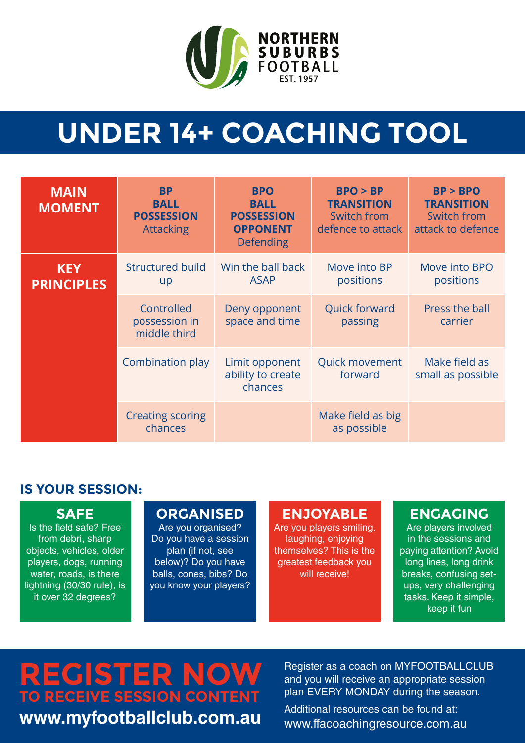

# **UNDER 14+ COACHING TOOL**

| <b>MAIN</b><br><b>MOMENT</b>    | <b>BP</b><br><b>BALL</b><br><b>POSSESSION</b><br><b>Attacking</b> | <b>BPO</b><br><b>BALL</b><br><b>POSSESSION</b><br><b>OPPONENT</b><br><b>Defending</b> | BPO > BP<br><b>TRANSITION</b><br>Switch from<br>defence to attack | BP > BPO<br><b>TRANSITION</b><br>Switch from<br>attack to defence |
|---------------------------------|-------------------------------------------------------------------|---------------------------------------------------------------------------------------|-------------------------------------------------------------------|-------------------------------------------------------------------|
| <b>KEY</b><br><b>PRINCIPLES</b> | <b>Structured build</b><br>up                                     | Win the ball back<br><b>ASAP</b>                                                      | Move into BP<br>positions                                         | Move into BPO<br>positions                                        |
|                                 | Controlled<br>possession in<br>middle third                       | Deny opponent<br>space and time                                                       | <b>Quick forward</b><br>passing                                   | Press the ball<br>carrier                                         |
|                                 | Combination play                                                  | Limit opponent<br>ability to create<br>chances                                        | <b>Quick movement</b><br>forward                                  | Make field as<br>small as possible                                |
|                                 | <b>Creating scoring</b><br>chances                                |                                                                                       | Make field as big<br>as possible                                  |                                                                   |

### **IS YOUR SESSION:**

#### **SAFE**

Is the field safe? Free from debri, sharp objects, vehicles, older players, dogs, running water, roads, is there lightning (30/30 rule), is it over 32 degrees?

#### **ORGANISED**

Are you organised? Do you have a session plan (if not, see below)? Do you have balls, cones, bibs? Do you know your players?

#### **ENJOYABLE**

Are you players smiling, laughing, enjoying themselves? This is the greatest feedback you will receive!

#### **ENGAGING**

Are players involved in the sessions and paying attention? Avoid long lines, long drink breaks, confusing setups, very challenging tasks. Keep it simple, keep it fun

# **REGISTER NOW TO RECEIVE SESSION CONTENT www.myfootballclub.com.au**

Register as a coach on MYFOOTBALLCLUB and you will receive an appropriate session plan EVERY MONDAY during the season.

Additional resources can be found at: www.ffacoachingresource.com.au